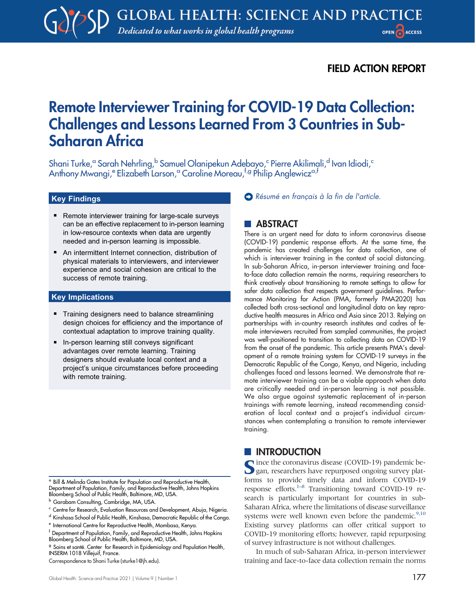# FIELD ACTION REPORT

# Remote Interviewer Training for COVID-19 Data Collection: Challenges and Lessons Learned From 3 Countries in Sub-Saharan Africa

Shani Turke,<sup>a</sup> Sarah Nehrling,<sup>b</sup> Samuel Olanipekun Adebayo,<sup>c</sup> Pierre Akilimali,<sup>d</sup> Ivan Idiodi,<sup>c</sup> Anthony Mwangi,<sup>e</sup> Elizabeth Larson,<sup>a</sup> Caroline Moreau,<sup>f,g</sup> Philip Anglewicz<sup>a,f</sup>

#### Key Findings

- Remote interviewer training for large-scale surveys can be an effective replacement to in-person learning in low-resource contexts when data are urgently needed and in-person learning is impossible.
- An intermittent Internet connection, distribution of physical materials to interviewers, and interviewer experience and social cohesion are critical to the success of remote training.

#### Key Implications

- **Training designers need to balance streamlining** design choices for efficiency and the importance of contextual adaptation to improve training quality.
- In-person learning still conveys significant advantages over remote learning. Training designers should evaluate local context and a project's unique circumstances before proceeding with remote training.

<sup>a</sup> Bill & Melinda Gates Institute for Population and Reproductive Health, Department of Population, Family, and Reproductive Health, Johns Hopkins Bloomberg School of Public Health, Baltimore, MD, USA.

<sup>c</sup> Centre for Research, Evaluation Resources and Development, Abuja, Nigeria.

Correspondence to Shani Turke [\(sturke1@jh.edu\)](mailto:sturke1@jh.edu).

[Résumé en français à la fin de l'article.](#page-8-0)

## **ABSTRACT**

There is an urgent need for data to inform coronavirus disease (COVID-19) pandemic response efforts. At the same time, the pandemic has created challenges for data collection, one of which is interviewer training in the context of social distancing. In sub-Saharan Africa, in-person interviewer training and faceto-face data collection remain the norms, requiring researchers to think creatively about transitioning to remote settings to allow for safer data collection that respects government guidelines. Performance Monitoring for Action (PMA, formerly PMA2020) has collected both cross-sectional and longitudinal data on key reproductive health measures in Africa and Asia since 2013. Relying on partnerships with in-country research institutes and cadres of female interviewers recruited from sampled communities, the project was well-positioned to transition to collecting data on COVID-19 from the onset of the pandemic. This article presents PMA's development of a remote training system for COVID-19 surveys in the Democratic Republic of the Congo, Kenya, and Nigeria, including challenges faced and lessons learned. We demonstrate that remote interviewer training can be a viable approach when data are critically needed and in-person learning is not possible. We also argue against systematic replacement of in-person trainings with remote learning, instead recommending consideration of local context and a project's individual circumstances when contemplating a transition to remote interviewer training.

# **INTRODUCTION**

Since the coronavirus disease (COVID-19) pandemic began, researchers have repurposed ongoing survey platforms to provide timely data and inform COVID-19 response efforts. $1-8$  $1-8$  Transitioning toward COVID-19 research is particularly important for countries in sub-Saharan Africa, where the limitations of disease surveillance systems were well known even before the pandemic.<sup>9[,10](#page-8-4)</sup> Existing survey platforms can offer critical support to COVID-19 monitoring efforts; however, rapid repurposing of survey infrastructure is not without challenges.

In much of sub-Saharan Africa, in-person interviewer training and face-to-face data collection remain the norms

**b** Garabam Consulting, Cambridge, MA, USA.

<sup>d</sup> Kinshasa School of Public Health, Kinshasa, Democratic Republic of the Congo.

<sup>e</sup> International Centre for Reproductive Health, Mombasa, Kenya.

<sup>f</sup> Department of Population, Family, and Reproductive Health, Johns Hopkins Bloomberg School of Public Health, Baltimore, MD, USA.

<sup>&</sup>lt;sup>9</sup> Soins et santé. Center for Research in Epidemiology and Population Health, INSERM 1018 Villejuif, France.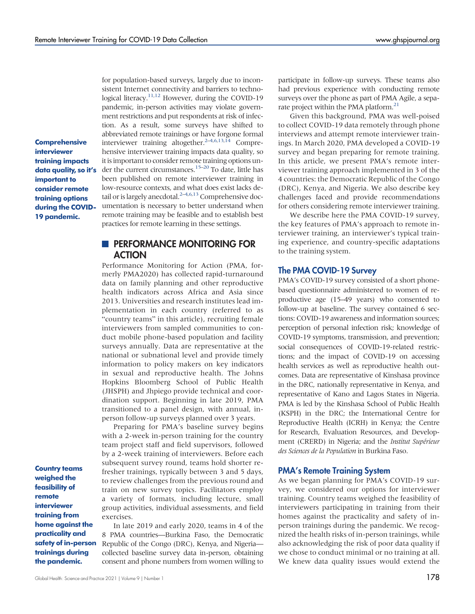**Comprehensive** interviewer training impacts data quality, so it's important to consider remote training options during the COVID-19 pandemic.

for population-based surveys, largely due to inconsistent Internet connectivity and barriers to techno-logical literacy.<sup>[11](#page-8-5)[,12](#page-8-6)</sup> However, during the COVID-19 pandemic, in-person activities may violate government restrictions and put respondents at risk of infection. As a result, some surveys have shifted to abbreviated remote trainings or have forgone formal interviewer training altogether. $2-4,6,13,14$  $2-4,6,13,14$  $2-4,6,13,14$  $2-4,6,13,14$  $2-4,6,13,14$  Comprehensive interviewer training impacts data quality, so it is important to consider remote training options un-der the current circumstances.<sup>[15](#page-8-12)–[20](#page-8-13)</sup> To date, little has been published on remote interviewer training in low-resource contexts, and what does exist lacks de-tail or is largely anecdotal.<sup>2-[4](#page-8-8)[,6](#page-8-9),[13](#page-8-10)</sup> Comprehensive documentation is necessary to better understand when remote training may be feasible and to establish best practices for remote learning in these settings.

# **PERFORMANCE MONITORING FOR ACTION**

Performance Monitoring for Action (PMA, formerly PMA2020) has collected rapid-turnaround data on family planning and other reproductive health indicators across Africa and Asia since 2013. Universities and research institutes lead implementation in each country (referred to as "country teams" in this article), recruiting female interviewers from sampled communities to conduct mobile phone-based population and facility surveys annually. Data are representative at the national or subnational level and provide timely information to policy makers on key indicators in sexual and reproductive health. The Johns Hopkins Bloomberg School of Public Health (JHSPH) and Jhpiego provide technical and coordination support. Beginning in late 2019, PMA transitioned to a panel design, with annual, inperson follow-up surveys planned over 3 years.

Preparing for PMA's baseline survey begins with a 2-week in-person training for the country team project staff and field supervisors, followed by a 2-week training of interviewers. Before each subsequent survey round, teams hold shorter refresher trainings, typically between 3 and 5 days, to review challenges from the previous round and train on new survey topics. Facilitators employ a variety of formats, including lecture, small group activities, individual assessments, and field exercises.

Country teams weighed the feasibility of remote interviewer training from home against the practicality and safety of in-person trainings during the pandemic.

In late 2019 and early 2020, teams in 4 of the 8 PMA countries—Burkina Faso, the Democratic Republic of the Congo (DRC), Kenya, and Nigeria collected baseline survey data in-person, obtaining consent and phone numbers from women willing to

participate in follow-up surveys. These teams also had previous experience with conducting remote surveys over the phone as part of PMA Agile, a separate project within the PMA platform.<sup>21</sup>

Given this background, PMA was well-poised to collect COVID-19 data remotely through phone interviews and attempt remote interviewer trainings. In March 2020, PMA developed a COVID-19 survey and began preparing for remote training. In this article, we present PMA's remote interviewer training approach implemented in 3 of the 4 countries: the Democratic Republic of the Congo (DRC), Kenya, and Nigeria. We also describe key challenges faced and provide recommendations for others considering remote interviewer training.

We describe here the PMA COVID-19 survey, the key features of PMA's approach to remote interviewer training, an interviewer's typical training experience, and country-specific adaptations to the training system.

#### The PMA COVID-19 Survey

PMA's COVID-19 survey consisted of a short phonebased questionnaire administered to women of reproductive age (15–49 years) who consented to follow-up at baseline. The survey contained 6 sections: COVID-19 awareness and information sources; perception of personal infection risk; knowledge of COVID-19 symptoms, transmission, and prevention; social consequences of COVID-19-related restrictions; and the impact of COVID-19 on accessing health services as well as reproductive health outcomes. Data are representative of Kinshasa province in the DRC, nationally representative in Kenya, and representative of Kano and Lagos States in Nigeria. PMA is led by the Kinshasa School of Public Health (KSPH) in the DRC; the International Centre for Reproductive Health (ICRH) in Kenya; the Centre for Research, Evaluation Resources, and Development (CRERD) in Nigeria; and the Institut Supérieur des Sciences de la Population in Burkina Faso.

#### PMA's Remote Training System

As we began planning for PMA's COVID-19 survey, we considered our options for interviewer training. Country teams weighed the feasibility of interviewers participating in training from their homes against the practicality and safety of inperson trainings during the pandemic. We recognized the health risks of in-person trainings, while also acknowledging the risk of poor data quality if we chose to conduct minimal or no training at all. We knew data quality issues would extend the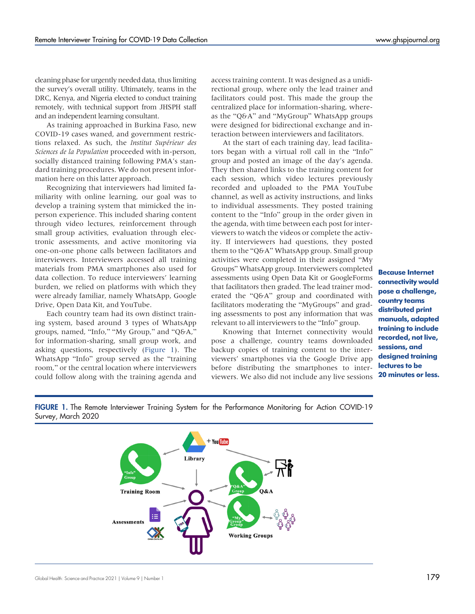cleaning phase for urgently needed data, thus limiting the survey's overall utility. Ultimately, teams in the DRC, Kenya, and Nigeria elected to conduct training remotely, with technical support from JHSPH staff and an independent learning consultant.

As training approached in Burkina Faso, new COVID-19 cases waned, and government restrictions relaxed. As such, the Institut Supérieur des Sciences de la Population proceeded with in-person, socially distanced training following PMA's standard training procedures. We do not present information here on this latter approach.

Recognizing that interviewers had limited familiarity with online learning, our goal was to develop a training system that mimicked the inperson experience. This included sharing content through video lectures, reinforcement through small group activities, evaluation through electronic assessments, and active monitoring via one-on-one phone calls between facilitators and interviewers. Interviewers accessed all training materials from PMA smartphones also used for data collection. To reduce interviewers' learning burden, we relied on platforms with which they were already familiar, namely WhatsApp, Google Drive, Open Data Kit, and YouTube.

Each country team had its own distinct training system, based around 3 types of WhatsApp groups, named, "Info," "My Group," and "Q&A," for information-sharing, small group work, and asking questions, respectively (Figure 1). The WhatsApp "Info" group served as the "training room," or the central location where interviewers could follow along with the training agenda and

access training content. It was designed as a unidirectional group, where only the lead trainer and facilitators could post. This made the group the centralized place for information-sharing, whereas the "Q&A" and "MyGroup" WhatsApp groups were designed for bidirectional exchange and interaction between interviewers and facilitators.

At the start of each training day, lead facilitators began with a virtual roll call in the "Info" group and posted an image of the day's agenda. They then shared links to the training content for each session, which video lectures previously recorded and uploaded to the PMA YouTube channel, as well as activity instructions, and links to individual assessments. They posted training content to the "Info" group in the order given in the agenda, with time between each post for interviewers to watch the videos or complete the activity. If interviewers had questions, they posted them to the "Q&A" WhatsApp group. Small group activities were completed in their assigned "My Groups" WhatsApp group. Interviewers completed assessments using Open Data Kit or GoogleForms that facilitators then graded. The lead trainer moderated the "Q&A" group and coordinated with facilitators moderating the "MyGroups" and grading assessments to post any information that was relevant to all interviewers to the "Info" group.

Knowing that Internet connectivity would pose a challenge, country teams downloaded backup copies of training content to the interviewers' smartphones via the Google Drive app before distributing the smartphones to interviewers. We also did not include any live sessions

Because Internet connectivity would pose a challenge, country teams distributed print manuals, adapted training to include recorded, not live, sessions, and designed training lectures to be 20 minutes or less.



FIGURE 1. The Remote Interviewer Training System for the Performance Monitoring for Action COVID-19 Survey, March 2020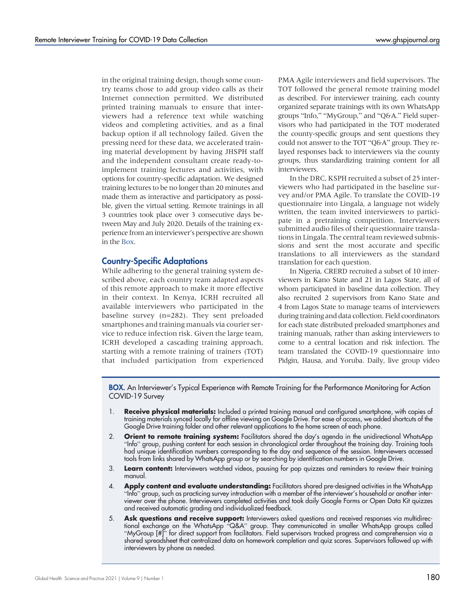in the original training design, though some country teams chose to add group video calls as their Internet connection permitted. We distributed printed training manuals to ensure that interviewers had a reference text while watching videos and completing activities, and as a final backup option if all technology failed. Given the pressing need for these data, we accelerated training material development by having JHSPH staff and the independent consultant create ready-toimplement training lectures and activities, with options for country-specific adaptation. We designed training lectures to be no longer than 20 minutes and made them as interactive and participatory as possible, given the virtual setting. Remote trainings in all 3 countries took place over 3 consecutive days between May and July 2020. Details of the training experience from an interviewer's perspective are shown in the [Box.](#page-3-0)

#### Country-Specific Adaptations

While adhering to the general training system described above, each country team adapted aspects of this remote approach to make it more effective in their context. In Kenya, ICRH recruited all available interviewers who participated in the baseline survey (n=282). They sent preloaded smartphones and training manuals via courier service to reduce infection risk. Given the large team, ICRH developed a cascading training approach, starting with a remote training of trainers (TOT) that included participation from experienced PMA Agile interviewers and field supervisors. The TOT followed the general remote training model as described. For interviewer training, each county organized separate trainings with its own WhatsApp groups "Info," "MyGroup," and "Q&A." Field supervisors who had participated in the TOT moderated the county-specific groups and sent questions they could not answer to the TOT "Q&A" group. They relayed responses back to interviewers via the county groups, thus standardizing training content for all interviewers.

In the DRC, KSPH recruited a subset of 25 interviewers who had participated in the baseline survey and/or PMA Agile. To translate the COVID-19 questionnaire into Lingala, a language not widely written, the team invited interviewers to participate in a pretraining competition. Interviewers submitted audio files of their questionnaire translations in Lingala. The central team reviewed submissions and sent the most accurate and specific translations to all interviewers as the standard translation for each question.

In Nigeria, CRERD recruited a subset of 10 interviewers in Kano State and 21 in Lagos State, all of whom participated in baseline data collection. They also recruited 2 supervisors from Kano State and 4 from Lagos State to manage teams of interviewers during training and data collection. Field coordinators for each state distributed preloaded smartphones and training manuals, rather than asking interviewers to come to a central location and risk infection. The team translated the COVID-19 questionnaire into Pidgin, Hausa, and Yoruba. Daily, live group video

<span id="page-3-0"></span>BOX. An Interviewer's Typical Experience with Remote Training for the Performance Monitoring for Action COVID-19 Survey

- 1. **Receive physical materials:** Included a printed training manual and configured smartphone, with copies of training materials synced locally for offline viewing on Google Drive. For ease of access, we added shortcuts of the Google Drive training folder and other relevant applications to the home screen of each phone.
- 2. **Orient to remote training system:** Facilitators shared the day's agenda in the unidirectional WhatsApp "Info" group, pushing content for each session in chronological order throughout the training day. Training tools had unique identification numbers corresponding to the day and sequence of the session. Interviewers accessed tools from links shared by WhatsApp group or by searching by identification numbers in Google Drive.
- 3. Learn content: Interviewers watched videos, pausing for pop quizzes and reminders to review their training manual.
- 4. **Apply content and evaluate understanding:** Facilitators shared pre-designed activities in the WhatsApp "Info" group, such as practicing survey introduction with a member of the interviewer's household or another interviewer over the phone. Interviewers completed activities and took daily Google Forms or Open Data Kit quizzes and received automatic grading and individualized feedback.
- 5. **Ask questions and receive support:** Interviewers asked questions and received responses via multidirectional exchange on the WhatsApp "Q&A" group. They communicated in smaller WhatsApp groups called "MyGroup [#]" for direct support from facilitators. Field supervisors tracked progress and comprehension via a shared spreadsheet that centralized data on homework completion and quiz scores. Supervisors followed up with interviewers by phone as needed.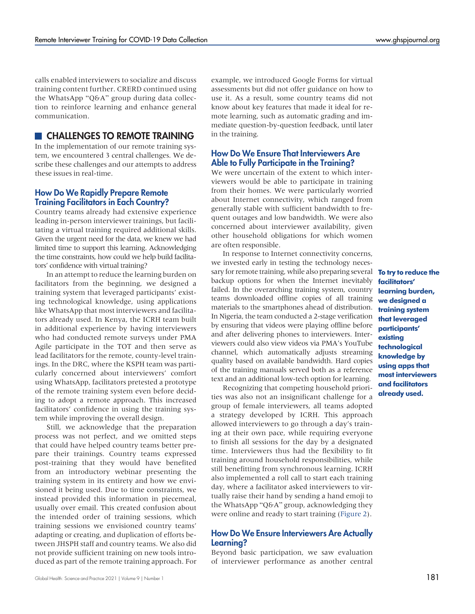calls enabled interviewers to socialize and discuss training content further. CRERD continued using the WhatsApp "Q&A" group during data collection to reinforce learning and enhance general communication.

# **EX CHALLENGES TO REMOTE TRAINING**

In the implementation of our remote training system, we encountered 3 central challenges. We describe these challenges and our attempts to address these issues in real-time.

## How Do We Rapidly Prepare Remote Training Facilitators in Each Country?

Country teams already had extensive experience leading in-person interviewer trainings, but facilitating a virtual training required additional skills. Given the urgent need for the data, we knew we had limited time to support this learning. Acknowledging the time constraints, how could we help build facilitators' confidence with virtual training?

In an attempt to reduce the learning burden on facilitators from the beginning, we designed a training system that leveraged participants' existing technological knowledge, using applications like WhatsApp that most interviewers and facilitators already used. In Kenya, the ICRH team built in additional experience by having interviewers who had conducted remote surveys under PMA Agile participate in the TOT and then serve as lead facilitators for the remote, county-level trainings. In the DRC, where the KSPH team was particularly concerned about interviewers' comfort using WhatsApp, facilitators pretested a prototype of the remote training system even before deciding to adopt a remote approach. This increased facilitators' confidence in using the training system while improving the overall design.

Still, we acknowledge that the preparation process was not perfect, and we omitted steps that could have helped country teams better prepare their trainings. Country teams expressed post-training that they would have benefited from an introductory webinar presenting the training system in its entirety and how we envisioned it being used. Due to time constraints, we instead provided this information in piecemeal, usually over email. This created confusion about the intended order of training sessions, which training sessions we envisioned country teams' adapting or creating, and duplication of efforts between JHSPH staff and country teams. We also did not provide sufficient training on new tools introduced as part of the remote training approach. For example, we introduced Google Forms for virtual assessments but did not offer guidance on how to use it. As a result, some country teams did not know about key features that made it ideal for remote learning, such as automatic grading and immediate question-by-question feedback, until later in the training.

# How Do We Ensure That Interviewers Are Able to Fully Participate in the Training?

We were uncertain of the extent to which interviewers would be able to participate in training from their homes. We were particularly worried about Internet connectivity, which ranged from generally stable with sufficient bandwidth to frequent outages and low bandwidth. We were also concerned about interviewer availability, given other household obligations for which women are often responsible.

In response to Internet connectivity concerns, we invested early in testing the technology necessary for remote training, while also preparing several **To try to reduce the** backup options for when the Internet inevitably failed. In the overarching training system, country teams downloaded offline copies of all training materials to the smartphones ahead of distribution. In Nigeria, the team conducted a 2-stage verification by ensuring that videos were playing offline before and after delivering phones to interviewers. Interviewers could also view videos via PMA's YouTube channel, which automatically adjusts streaming quality based on available bandwidth. Hard copies of the training manuals served both as a reference text and an additional low-tech option for learning.

Recognizing that competing household priorities was also not an insignificant challenge for a group of female interviewers, all teams adopted a strategy developed by ICRH. This approach allowed interviewers to go through a day's training at their own pace, while requiring everyone to finish all sessions for the day by a designated time. Interviewers thus had the flexibility to fit training around household responsibilities, while still benefitting from synchronous learning. ICRH also implemented a roll call to start each training day, where a facilitator asked interviewers to virtually raise their hand by sending a hand emoji to the WhatsApp "Q&A" group, acknowledging they were online and ready to start training ([Figure 2](#page-5-0)).

## How Do We Ensure Interviewers Are Actually Learning?

Beyond basic participation, we saw evaluation of interviewer performance as another central

facilitators' learning burden, we designed a training system that leveraged participants' existing technological knowledge by using apps that most interviewers and facilitators already used.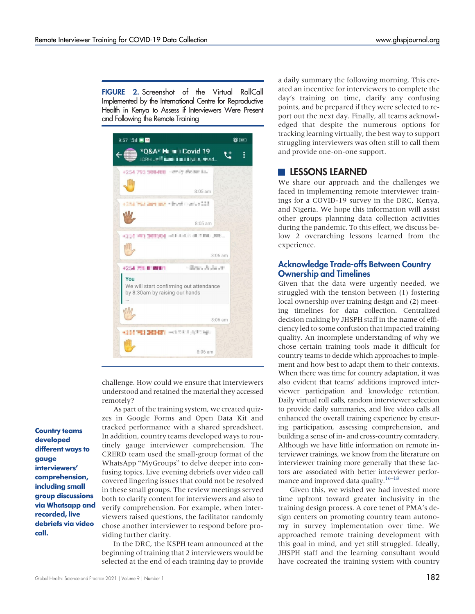<span id="page-5-0"></span>FIGURE 2. Screenshot of the Virtual RollCall Implemented by the International Centre for Reproductive Health in Kenya to Assess if Interviewers Were Present and Following the Remote Training

| 9:57 <sup>*</sup> 11 ■ M                                                         | $\bullet$ $\bullet$     |
|----------------------------------------------------------------------------------|-------------------------|
| *Q&A* H = Covid 19<br>IGRH Jeff Latin Latin Miles aftend                         |                         |
| +254 793 308488 ~ emily shose: ial.                                              |                         |
|                                                                                  | $8:05$ am               |
| +284 PLI Jan and + bud modes 223                                                 |                         |
|                                                                                  | $8:05$ am               |
| 4214 WILDRING HALLANDS JULIUM JMB                                                |                         |
|                                                                                  | $8:06$ am               |
| <b>+254 750 818891</b>                                                           | - filosof, de destroyo. |
| You<br>We will start confirming out attendance<br>by 8:30am by raising our hands |                         |
|                                                                                  | $8:06$ am               |
| +114 PH DENT mearch in spreads.                                                  | $8:06$ am               |

challenge. How could we ensure that interviewers understood and retained the material they accessed remotely?

As part of the training system, we created quizzes in Google Forms and Open Data Kit and tracked performance with a shared spreadsheet. In addition, country teams developed ways to routinely gauge interviewer comprehension. The CRERD team used the small-group format of the WhatsApp "MyGroups" to delve deeper into confusing topics. Live evening debriefs over video call covered lingering issues that could not be resolved in these small groups. The review meetings served both to clarify content for interviewers and also to verify comprehension. For example, when interviewers raised questions, the facilitator randomly chose another interviewer to respond before providing further clarity.

In the DRC, the KSPH team announced at the beginning of training that 2 interviewers would be selected at the end of each training day to provide a daily summary the following morning. This created an incentive for interviewers to complete the day's training on time, clarify any confusing points, and be prepared if they were selected to report out the next day. Finally, all teams acknowledged that despite the numerous options for tracking learning virtually, the best way to support struggling interviewers was often still to call them and provide one-on-one support.

## **LESSONS LEARNED**

We share our approach and the challenges we faced in implementing remote interviewer trainings for a COVID-19 survey in the DRC, Kenya, and Nigeria. We hope this information will assist other groups planning data collection activities during the pandemic. To this effect, we discuss below 2 overarching lessons learned from the experience.

## Acknowledge Trade-offs Between Country Ownership and Timelines

Given that the data were urgently needed, we struggled with the tension between (1) fostering local ownership over training design and (2) meeting timelines for data collection. Centralized decision making by JHSPH staff in the name of efficiency led to some confusion that impacted training quality. An incomplete understanding of why we chose certain training tools made it difficult for country teams to decide which approaches to implement and how best to adapt them to their contexts. When there was time for country adaptation, it was also evident that teams' additions improved interviewer participation and knowledge retention. Daily virtual roll calls, random interviewer selection to provide daily summaries, and live video calls all enhanced the overall training experience by ensuring participation, assessing comprehension, and building a sense of in- and cross-country comradery. Although we have little information on remote interviewer trainings, we know from the literature on interviewer training more generally that these factors are associated with better interviewer perfor-mance and improved data quality.<sup>16–[18](#page-8-16)</sup>

Given this, we wished we had invested more time upfront toward greater inclusivity in the training design process. A core tenet of PMA's design centers on promoting country team autonomy in survey implementation over time. We approached remote training development with this goal in mind, and yet still struggled. Ideally, JHSPH staff and the learning consultant would have cocreated the training system with country

Country teams developed different ways to gauge interviewers' comprehension, including small group discussions via Whatsapp and recorded, live debriefs via video call.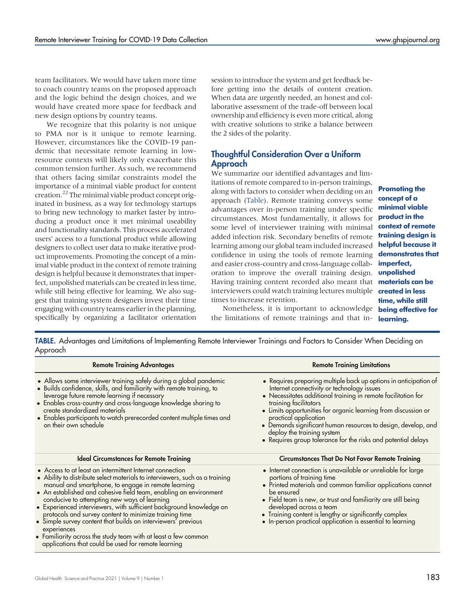team facilitators. We would have taken more time to coach country teams on the proposed approach and the logic behind the design choices, and we would have created more space for feedback and new design options by country teams.

We recognize that this polarity is not unique to PMA nor is it unique to remote learning. However, circumstances like the COVID-19 pandemic that necessitate remote learning in lowresource contexts will likely only exacerbate this common tension further. As such, we recommend that others facing similar constraints model the importance of a minimal viable product for content creation[.22](#page-8-17) The minimal viable product concept originated in business, as a way for technology startups to bring new technology to market faster by introducing a product once it met minimal useability and functionality standards. This process accelerated users' access to a functional product while allowing designers to collect user data to make iterative product improvements. Promoting the concept of a minimal viable product in the context of remote training design is helpful because it demonstrates that imperfect, unpolished materials can be created in less time, while still being effective for learning. We also suggest that training system designers invest their time engaging with country teams earlier in the planning, specifically by organizing a facilitator orientation session to introduce the system and get feedback before getting into the details of content creation. When data are urgently needed, an honest and collaborative assessment of the trade-off between local ownership and efficiency is even more critical, along with creative solutions to strike a balance between the 2 sides of the polarity.

# Thoughtful Consideration Over a Uniform Approach

We summarize our identified advantages and limitations of remote compared to in-person trainings, along with factors to consider when deciding on an approach [\(Table\)](#page-6-0). Remote training conveys some advantages over in-person training under specific circumstances. Most fundamentally, it allows for some level of interviewer training with minimal added infection risk. Secondary benefits of remote learning among our global team included increased confidence in using the tools of remote learning and easier cross-country and cross-language collaboration to improve the overall training design. **unpolished** Having training content recorded also meant that **materials can be** interviewers could watch training lectures multiple **created in less** times to increase retention.

Promoting the concept of a minimal viable product in the context of remote training design is helpful because it demonstrates that imperfect, time, while still

Nonetheless, it is important to acknowledge **being effective for** the limitations of remote trainings and that in- learning.

<span id="page-6-0"></span>TABLE. Advantages and Limitations of Implementing Remote Interviewer Trainings and Factors to Consider When Deciding on Approach

| <b>Remote Training Advantages</b>                                                                                                                                                                                                                                                                                                                                                                                                                                                                                                                                                                                                                              | <b>Remote Training Limitations</b>                                                                                                                                                                                                                                                                                                                                                                                                                                  |
|----------------------------------------------------------------------------------------------------------------------------------------------------------------------------------------------------------------------------------------------------------------------------------------------------------------------------------------------------------------------------------------------------------------------------------------------------------------------------------------------------------------------------------------------------------------------------------------------------------------------------------------------------------------|---------------------------------------------------------------------------------------------------------------------------------------------------------------------------------------------------------------------------------------------------------------------------------------------------------------------------------------------------------------------------------------------------------------------------------------------------------------------|
| • Allows some interviewer training safely during a global pandemic<br>• Builds confidence, skills, and familiarity with remote training, to<br>leverage future remote learning if necessary<br>• Enables cross-country and cross-language knowledge sharing to<br>create standardized materials<br>• Enables participants to watch prerecorded content multiple times and<br>on their own schedule                                                                                                                                                                                                                                                             | • Requires preparing multiple back up options in anticipation of<br>Internet connectivity or technology issues<br>• Necessitates additional training in remote facilitation for<br>training facilitators<br>• Limits opportunities for organic learning from discussion or<br>practical application<br>• Demands significant human resources to design, develop, and<br>deploy the training system<br>• Requires group tolerance for the risks and potential delays |
| <b>Ideal Circumstances for Remote Training</b>                                                                                                                                                                                                                                                                                                                                                                                                                                                                                                                                                                                                                 | <b>Circumstances That Do Not Favor Remote Training</b>                                                                                                                                                                                                                                                                                                                                                                                                              |
| • Access to at least an intermittent Internet connection<br>• Ability to distribute select materials to interviewers, such as a training<br>manual and smartphone, to engage in remote learning<br>• An established and cohesive field team, enabling an environment<br>conducive to attempting new ways of learning<br>• Experienced interviewers, with sufficient background knowledge on<br>protocols and survey content to minimize training time<br>• Simple survey content that builds on interviewers' previous<br>experiences<br>• Familiarity across the study team with at least a few common<br>applications that could be used for remote learning | · Internet connection is unavailable or unreliable for large<br>portions of training time<br>• Printed materials and common familiar applications cannot<br>be ensured<br>• Field team is new, or trust and familiarity are still being<br>developed across a team<br>• Training content is lengthy or significantly complex<br>• In-person practical application is essential to learning                                                                          |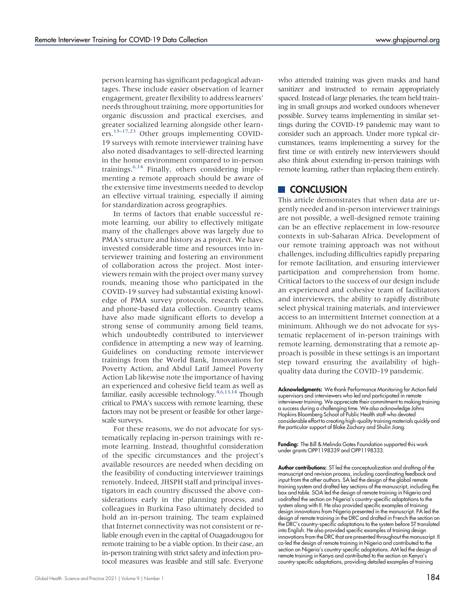person learning has significant pedagogical advantages. These include easier observation of learner engagement, greater flexibility to address learners' needs throughout training, more opportunities for organic discussion and practical exercises, and greater socialized learning alongside other learners.[15](#page-8-12)–[17](#page-8-18)[,23](#page-8-19) Other groups implementing COVID-19 surveys with remote interviewer training have also noted disadvantages to self-directed learning in the home environment compared to in-person trainings. $6,14$  $6,14$  Finally, others considering implementing a remote approach should be aware of the extensive time investments needed to develop an effective virtual training, especially if aiming for standardization across geographies.

In terms of factors that enable successful remote learning, our ability to effectively mitigate many of the challenges above was largely due to PMA's structure and history as a project. We have invested considerable time and resources into interviewer training and fostering an environment of collaboration across the project. Most interviewers remain with the project over many survey rounds, meaning those who participated in the COVID-19 survey had substantial existing knowledge of PMA survey protocols, research ethics, and phone-based data collection. Country teams have also made significant efforts to develop a strong sense of community among field teams, which undoubtedly contributed to interviewer confidence in attempting a new way of learning. Guidelines on conducting remote interviewer trainings from the World Bank, Innovations for Poverty Action, and Abdul Latif Jameel Poverty Action Lab likewise note the importance of having an experienced and cohesive field team as well as familiar, easily accessible technology. $4,6,13,14$  $4,6,13,14$  $4,6,13,14$  $4,6,13,14$  Though critical to PMA's success with remote learning, these factors may not be present or feasible for other largescale surveys.

For these reasons, we do not advocate for systematically replacing in-person trainings with remote learning. Instead, thoughtful consideration of the specific circumstances and the project's available resources are needed when deciding on the feasibility of conducting interviewer trainings remotely. Indeed, JHSPH staff and principal investigators in each country discussed the above considerations early in the planning process, and colleagues in Burkina Faso ultimately decided to hold an in-person training. The team explained that Internet connectivity was not consistent or reliable enough even in the capital of Ouagadougou for remote training to be a viable option. In their case, an in-person training with strict safety and infection protocol measures was feasible and still safe. Everyone

who attended training was given masks and hand sanitizer and instructed to remain appropriately spaced. Instead of large plenaries, the team held training in small groups and worked outdoors whenever possible. Survey teams implementing in similar settings during the COVID-19 pandemic may want to consider such an approach. Under more typical circumstances, teams implementing a survey for the first time or with entirely new interviewers should also think about extending in-person trainings with remote learning, rather than replacing them entirely.

# **CONCLUSION**

This article demonstrates that when data are urgently needed and in-person interviewer trainings are not possible, a well-designed remote training can be an effective replacement in low-resource contexts in sub-Saharan Africa. Development of our remote training approach was not without challenges, including difficulties rapidly preparing for remote facilitation, and ensuring interviewer participation and comprehension from home. Critical factors to the success of our design include an experienced and cohesive team of facilitators and interviewers, the ability to rapidly distribute select physical training materials, and interviewer access to an intermittent Internet connection at a minimum. Although we do not advocate for systematic replacement of in-person trainings with remote learning, demonstrating that a remote approach is possible in these settings is an important step toward ensuring the availability of highquality data during the COVID-19 pandemic.

Acknowledgments: We thank Performance Monitoring for Action field supervisors and interviewers who led and participated in remote interviewer training. We appreciate their commitment to making training a success during a challenging time. We also acknowledge Johns Hopkins Bloomberg School of Public Health staff who devoted considerable effort to creating high-quality training materials quickly and the particular support of Blake Zachary and Shulin Jiang.

Funding: The Bill & Melinda Gates Foundation supported this work under grants OPP1198339 and OPP1198333.

Author contributions: ST led the conceptualization and drafting of the manuscript and revision process, including coordinating feedback and input from the other authors. SA led the design of the global remote training system and drafted key sections of the manuscript, including the box and table. SOA led the design of remote training in Nigeria and codrafted the section on Nigeria's country-specific adaptations to the system along with II. He also provided specific examples of training design innovations from Nigeria presented in the manuscript. PA led the design of remote training in the DRC and drafted in French the section on the DRC's country-specific adaptations to the system before ST translated into English. He also provided specific examples of training design innovations from the DRC that are presented throughout the manuscript. II co-led the design of remote training in Nigeria and contributed to the section on Nigeria's country-specific adaptations. AM led the design of remote training in Kenya and contributed to the section on Kenya's country-specific adaptations, providing detailed examples of training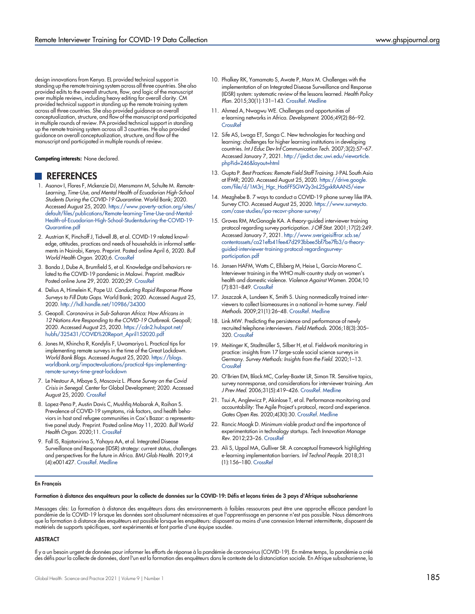design innovations from Kenya. EL provided technical support in standing up the remote training system across all three countries. She also provided edits to the overall structure, flow, and logic of the manuscript over multiple reviews, including heavy editing for overall clarity. CM provided technical support in standing up the remote training system across all three countries. She also provided guidance on overall conceptualization, structure, and flow of the manuscript and participated in multiple rounds of review. PA provided technical support in standing up the remote training system across all 3 countries. He also provided guidance on overall conceptualization, structure, and flow of the manuscript and participated in multiple rounds of review.

Competing interests: None declared.

#### **REFERENCES**

- <span id="page-8-1"></span>1. Asanov I, Flores F, Mckenzie DJ, Mensmann M, Schulte M. Remote-Learning, Time-Use, and Mental Health of Ecuadorian High-School Students During the COVID-19 Quarantine. World Bank; 2020. Accessed August 25, 2020. [https://www.poverty-action.org/sites/](https://www.poverty-action.org/sites/default/files/publications/Remote-learning-Time-Use-and-Mental-Health-of-Ecuadorian-High-School-Studentsduring-the-COVID-19-Quarantine.pdf) [default/files/publications/Remote-learning-Time-Use-and-Mental-](https://www.poverty-action.org/sites/default/files/publications/Remote-learning-Time-Use-and-Mental-Health-of-Ecuadorian-High-School-Studentsduring-the-COVID-19-Quarantine.pdf)[Health-of-Ecuadorian-High-School-Studentsduring-the-COVID-19-](https://www.poverty-action.org/sites/default/files/publications/Remote-learning-Time-Use-and-Mental-Health-of-Ecuadorian-High-School-Studentsduring-the-COVID-19-Quarantine.pdf) [Quarantine.pdf](https://www.poverty-action.org/sites/default/files/publications/Remote-learning-Time-Use-and-Mental-Health-of-Ecuadorian-High-School-Studentsduring-the-COVID-19-Quarantine.pdf)
- <span id="page-8-7"></span>2. Austrian K, Pinchoff J, Tidwell JB, et al. COVID-19 related knowledge, attitudes, practices and needs of households in informal settlements in Nairobi, Kenya. Preprint. Posted online April 6, 2020. Bull World Health Organ. 2020;6. [CrossRef](https://doi.org/10.2471/BLT.20.260281)
- 3. Banda J, Dube A, Brumfield S, et al. Knowledge and behaviors related to the COVID-19 pandemic in Malawi. Preprint. medRxiv Posted online June 29, 2020. 2020;29. [CrossRef](https://doi.org/10.1101/2020.06.16.20133322)
- <span id="page-8-8"></span>4. Delius A, Himelein K, Pape UJ. Conducting Rapid Response Phone Surveys to Fill Data Gaps. World Bank; 2020. Accessed August 25, 2020. <http://hdl.handle.net/10986/34300>
- 5. Geopoll. Coronavirus in Sub-Saharan Africa: How Africans in 12 Nations Are Responding to the COVID-19 Outbreak. Geopoll; 2020. Accessed August 25, 2020. [https://cdn2.hubspot.net/](https://cdn2.hubspot.net/hubfs/325431/COVID%20Report_April152020.pdf) [hubfs/325431/COVID%20Report\\_April152020.pdf](https://cdn2.hubspot.net/hubfs/325431/COVID%20Report_April152020.pdf)
- <span id="page-8-9"></span>6. Jones M, Khincha R, Kondylis F, Uwamariya L. Practical tips for implementing remote surveys in the time of the Great Lockdown. World Bank Blogs. Accessed August 25, 2020. [https://blogs.](https://blogs.worldbank.org/impactevaluations/practical-tips-implementing-remote-surveys-time-great-lockdown) [worldbank.org/impactevaluations/practical-tips-implementing](https://blogs.worldbank.org/impactevaluations/practical-tips-implementing-remote-surveys-time-great-lockdown)[remote-surveys-time-great-lockdown](https://blogs.worldbank.org/impactevaluations/practical-tips-implementing-remote-surveys-time-great-lockdown)
- 7. Le Nestour A, Mbaye S, Moscoviz L. Phone Survey on the Covid Crisis in Senegal. Center for Global Development; 2020. Accessed August 25, 2020. [CrossRef](https://doi.org/https://doi.org/10.7910/DVN/9XE95F/95RW9C)
- <span id="page-8-2"></span>8. Lopez-Pena P, Austin Davis C, Mushfiq Mobarak A, Raihan S. Prevalence of COVID-19 symptoms, risk factors, and health behaviors in host and refugee communities in Cox's Bazar: a representative panel study. Preprint. Posted online May 11, 2020. Bull World Health Organ. 2020;11. [CrossRef](https://doi.org/10.2471/BLT.20.265173)
- <span id="page-8-3"></span>9. Fall IS, Rajatonirina S, Yahaya AA, et al. Integrated Disease Surveillance and Response (IDSR) strategy: current status, challenges and perspectives for the future in Africa. BMJ Glob Health. 2019;4 (4):e001427. [CrossRef](https://doi.org/10.1136/bmjgh-2019-001427). [Medline](http://www.ncbi.nlm.nih.gov/pubmed/31354972)
- <span id="page-8-4"></span>10. Phalkey RK, Yamamoto S, Awate P, Marx M. Challenges with the implementation of an Integrated Disease Surveillance and Response (IDSR) system: systematic review of the lessons learned. Health Policy Plan. 2015;30(1):131–143. [CrossRef.](https://doi.org/10.1093/heapol/czt097) [Medline](http://www.ncbi.nlm.nih.gov/pubmed/24362642)
- <span id="page-8-5"></span>11. Ahmed A, Nwagwu WE. Challenges and opportunities of e-learning networks in Africa. Development. 2006;49(2):86–92. **[CrossRef](https://doi.org/10.1057/palgrave.development.1100250)**
- <span id="page-8-6"></span>12. Sife AS, Lwoga ET, Sanga C. New technologies for teaching and learning: challenges for higher learning institutions in developing countries. Int J Educ Dev Inf Communication Tech. 2007;3(2):57–67. Accessed January 7, 2021. [http://ijedict.dec.uwi.edu/viewarticle.](http://ijedict.dec.uwi.edu/viewarticle.php?id=246&layout=html) [php?id=246&layout=html](http://ijedict.dec.uwi.edu/viewarticle.php?id=246&layout=html)
- <span id="page-8-10"></span>13. Gupta P. Best Practices: Remote Field Staff Training. J-PAL South Asia at IFMR; 2020. Accessed August 25, 2020. [https://drive.google.](https://drive.google.com/file/d/1M3rj_Hgc_Ha6FFSGW2y3nL25gxkRAAN5/view) [com/file/d/1M3rj\\_Hgc\\_Ha6FFSGW2y3nL25gxkRAAN5/view](https://drive.google.com/file/d/1M3rj_Hgc_Ha6FFSGW2y3nL25gxkRAAN5/view)
- <span id="page-8-11"></span>14. Mezghebe B. 7 ways to conduct a COVID-19 phone survey like IPA. Survey CTO. Accessed August 25, 2020. [https://www.surveycto.](https://www.surveycto.com/case-studies/ipa-recovr-phone-survey/) [com/case-studies/ipa-recovr-phone-survey/](https://www.surveycto.com/case-studies/ipa-recovr-phone-survey/)
- <span id="page-8-12"></span>15. Groves RM, McGonagle KA. A theory-guided interviewer training protocol regarding survey participation. J Off Stat. 2001;17(2):249. Accessed January 7, 2021. [http://www.sverigeisiffror.scb.se/](http://www.sverigeisiffror.scb.se/contentassets/ca21efb41fee47d293bbee5bf7be7fb3/a-theory-guided-interviewer-training-protocol-regardingsurvey-participation.pdf) [contentassets/ca21efb41fee47d293bbee5bf7be7fb3/a-theory](http://www.sverigeisiffror.scb.se/contentassets/ca21efb41fee47d293bbee5bf7be7fb3/a-theory-guided-interviewer-training-protocol-regardingsurvey-participation.pdf)[guided-interviewer-training-protocol-regardingsurvey](http://www.sverigeisiffror.scb.se/contentassets/ca21efb41fee47d293bbee5bf7be7fb3/a-theory-guided-interviewer-training-protocol-regardingsurvey-participation.pdf)[participation.pdf](http://www.sverigeisiffror.scb.se/contentassets/ca21efb41fee47d293bbee5bf7be7fb3/a-theory-guided-interviewer-training-protocol-regardingsurvey-participation.pdf)
- <span id="page-8-15"></span>16. Jansen HAFM, Watts C, Ellsberg M, Heise L, García-Moreno C. Interviewer training in the WHO multi-country study on women's health and domestic violence. Violence Against Women. 2004;10 (7):831–849. [CrossRef](https://doi.org/10.1177/1077801204265554)
- <span id="page-8-18"></span>17. Jaszczak A, Lundeen K, Smith S. Using nonmedically trained interviewers to collect biomeasures in a national in-home survey. Field Methods. 2009;21(1):26–48. [CrossRef](https://doi.org/10.1177/1525822X08323988). [Medline](http://www.ncbi.nlm.nih.gov/pubmed/21796261)
- <span id="page-8-16"></span>18. Link MW. Predicting the persistence and performance of newly recruited telephone interviewers. Field Methods. 2006;18(3):305– 320. [CrossRef](https://doi.org/10.1177/1525822X06287534)
- 19. Meitinger K, Stadtmüller S, Silber H, et al. Fieldwork monitoring in practice: insights from 17 large-scale social science surveys in Germany. Survey Methods: Insights from the Field. 2020;1–13. **[CrossRef](https://doi.org/10.13094/SMIF-2020-00006)**
- <span id="page-8-13"></span>20. O'Brien EM, Black MC, Carley-Baxter LR, Simon TR. Sensitive topics, survey nonresponse, and considerations for interviewer training. Am J Prev Med. 2006;31(5):419–426. [CrossRef.](https://doi.org/10.1016/j.amepre.2006.07.010) [Medline](http://www.ncbi.nlm.nih.gov/pubmed/17046414)
- <span id="page-8-14"></span>21. Tsui A, Anglewicz P, Akinlose T, et al. Performance monitoring and accountability: The Agile Project's protocol, record and experience. Gates Open Res. 2020;4(30):30. [CrossRef.](https://doi.org/10.12688/gatesopenres.13119.2) [Medline](http://www.ncbi.nlm.nih.gov/pubmed/32908964)
- <span id="page-8-17"></span>22. Rancic Moogk D. Minimum viable product and the importance of experimentation in technology startups. Tech Innovation Manage Rev. 2012;23–26. [CrossRef](https://doi.org/10.22215/timreview/535)
- <span id="page-8-19"></span>23. Ali S, Uppal MA, Gulliver SR. A conceptual framework highlighting e-learning implementation barriers. Inf Technol People. 2018;31 (1):156–180. [CrossRef](https://doi.org/10.1108/ITP-10-2016-0246)

#### <span id="page-8-0"></span>En Français

#### Formation à distance des enquêteurs pour la collecte de données sur la COVID-19: Défis et leçons tirées de 3 pays d'Afrique subsaharienne

Messages clés: La formation à distance des enquêteurs dans des environnements à faibles ressources peut être une approche efficace pendant la pandémie de la COVID-19 lorsque les données sont absolument nécessaires et que l'apprentissage en personne n'est pas possible. Nous démontrons que la formation à distance des enquêteurs est possible lorsque les enquêteurs: disposent au moins d'une connexion Internet intermittente, disposent de matériels de supports spécifiques, sont expérimentés et font partie d'une équipe soudée.

#### **ABSTRACT**

Il y a un besoin urgent de données pour informer les efforts de réponse à la pandémie de coronavirus (COVID-19). En même temps, la pandémie a créé des défis pour la collecte de données, dont l'un est la formation des enquêteurs dans le contexte de la distanciation sociale. En Afrique subsaharienne, la